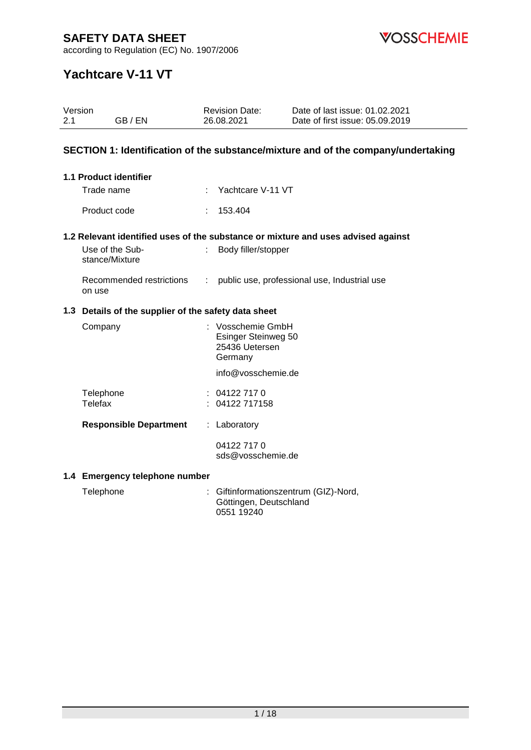

according to Regulation (EC) No. 1907/2006

# **Yachtcare V-11 VT**

| Version<br>2.1 | GB/EN                                                | <b>Revision Date:</b><br>26.08.2021 |                                                          | Date of last issue: 01.02.2021<br>Date of first issue: 05.09.2019                 |
|----------------|------------------------------------------------------|-------------------------------------|----------------------------------------------------------|-----------------------------------------------------------------------------------|
|                |                                                      |                                     |                                                          | SECTION 1: Identification of the substance/mixture and of the company/undertaking |
|                | 1.1 Product identifier                               |                                     |                                                          |                                                                                   |
|                | Trade name                                           | ÷                                   | Yachtcare V-11 VT                                        |                                                                                   |
|                | Product code                                         | 153.404<br>÷                        |                                                          |                                                                                   |
|                |                                                      |                                     |                                                          | 1.2 Relevant identified uses of the substance or mixture and uses advised against |
|                | Use of the Sub-<br>stance/Mixture                    |                                     | Body filler/stopper                                      |                                                                                   |
|                | Recommended restrictions<br>on use                   | ÷                                   |                                                          | public use, professional use, Industrial use                                      |
|                | 1.3 Details of the supplier of the safety data sheet |                                     |                                                          |                                                                                   |
|                | Company                                              | Germany                             | Vosschemie GmbH<br>Esinger Steinweg 50<br>25436 Uetersen |                                                                                   |
|                |                                                      |                                     | info@vosschemie.de                                       |                                                                                   |
|                | Telephone<br><b>Telefax</b>                          | 04122 717 0<br>04122 717158         |                                                          |                                                                                   |
|                | <b>Responsible Department</b>                        | : Laboratory                        |                                                          |                                                                                   |
|                |                                                      | 04122 717 0                         | sds@vosschemie.de                                        |                                                                                   |
|                | 1.4 Emergency telephone number                       |                                     |                                                          |                                                                                   |
|                |                                                      |                                     |                                                          |                                                                                   |

Telephone : Giftinformationszentrum (GIZ)-Nord, Göttingen, Deutschland 0551 19240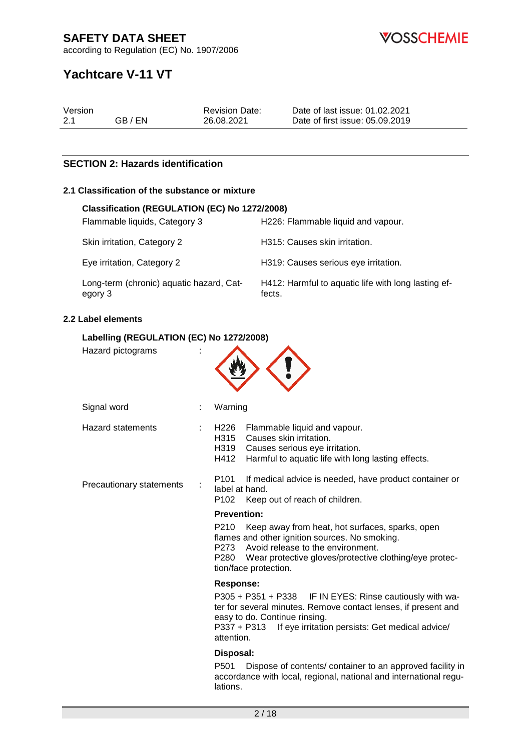**VOSSCHEMIE** 

according to Regulation (EC) No. 1907/2006

# **Yachtcare V-11 VT**

| Version |         | <b>Revision Date:</b> | Date of last issue: 01.02.2021  |
|---------|---------|-----------------------|---------------------------------|
| 2.1     | GB / EN | 26.08.2021            | Date of first issue: 05.09.2019 |

# **SECTION 2: Hazards identification**

## **2.1 Classification of the substance or mixture**

| Classification (REGULATION (EC) No 1272/2008)       |                                                               |
|-----------------------------------------------------|---------------------------------------------------------------|
| Flammable liquids, Category 3                       | H226: Flammable liquid and vapour.                            |
| Skin irritation, Category 2                         | H315: Causes skin irritation.                                 |
| Eye irritation, Category 2                          | H319: Causes serious eye irritation.                          |
| Long-term (chronic) aquatic hazard, Cat-<br>egory 3 | H412: Harmful to aquatic life with long lasting ef-<br>fects. |

## **2.2 Label elements**

## **Labelling (REGULATION (EC) No 1272/2008)**

| Hazard pictograms        |                                                                                                                                                                                                                                                |
|--------------------------|------------------------------------------------------------------------------------------------------------------------------------------------------------------------------------------------------------------------------------------------|
| Signal word              | Warning                                                                                                                                                                                                                                        |
| <b>Hazard statements</b> | H226<br>Flammable liquid and vapour.<br>H315<br>Causes skin irritation.<br>H319<br>Causes serious eye irritation.<br>H412<br>Harmful to aquatic life with long lasting effects.                                                                |
| Precautionary statements | P101<br>If medical advice is needed, have product container or<br>label at hand.<br>P102<br>Keep out of reach of children.                                                                                                                     |
|                          | <b>Prevention:</b>                                                                                                                                                                                                                             |
|                          | P210<br>Keep away from heat, hot surfaces, sparks, open<br>flames and other ignition sources. No smoking.<br>P273 Avoid release to the environment.<br>P280<br>Wear protective gloves/protective clothing/eye protec-<br>tion/face protection. |
|                          | <b>Response:</b>                                                                                                                                                                                                                               |
|                          | P305 + P351 + P338 IF IN EYES: Rinse cautiously with wa-<br>ter for several minutes. Remove contact lenses, if present and<br>easy to do. Continue rinsing.<br>P337 + P313<br>If eye irritation persists: Get medical advice/<br>attention.    |
|                          | Disposal:                                                                                                                                                                                                                                      |
|                          | Dispose of contents/ container to an approved facility in<br>P501<br>accordance with local, regional, national and international regu-<br>lations.                                                                                             |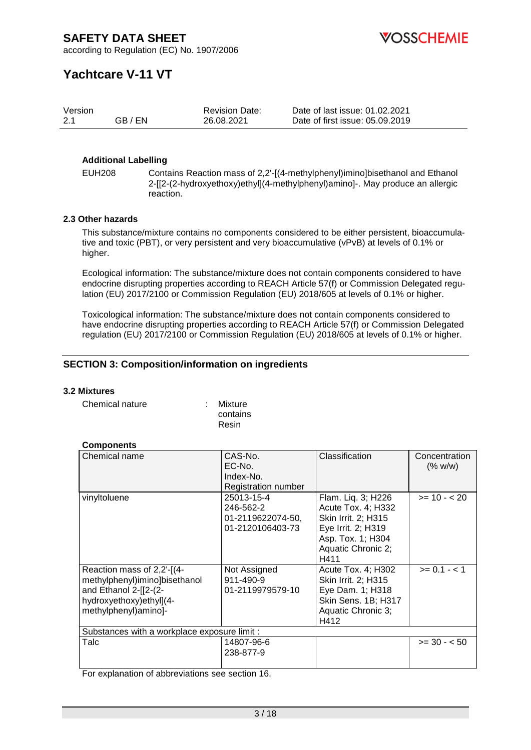**OSSCHEMIE** 

according to Regulation (EC) No. 1907/2006

# **Yachtcare V-11 VT**

| Version |         | <b>Revision Date:</b> | Date of last issue: 01.02.2021  |
|---------|---------|-----------------------|---------------------------------|
| 2.1     | GB / EN | 26.08.2021            | Date of first issue: 05.09.2019 |

## **Additional Labelling**

EUH208 Contains Reaction mass of 2,2'-[(4-methylphenyl)imino]bisethanol and Ethanol 2-[[2-(2-hydroxyethoxy)ethyl](4-methylphenyl)amino]-. May produce an allergic reaction.

## **2.3 Other hazards**

This substance/mixture contains no components considered to be either persistent, bioaccumulative and toxic (PBT), or very persistent and very bioaccumulative (vPvB) at levels of 0.1% or higher.

Ecological information: The substance/mixture does not contain components considered to have endocrine disrupting properties according to REACH Article 57(f) or Commission Delegated regulation (EU) 2017/2100 or Commission Regulation (EU) 2018/605 at levels of 0.1% or higher.

Toxicological information: The substance/mixture does not contain components considered to have endocrine disrupting properties according to REACH Article 57(f) or Commission Delegated regulation (EU) 2017/2100 or Commission Regulation (EU) 2018/605 at levels of 0.1% or higher.

# **SECTION 3: Composition/information on ingredients**

## **3.2 Mixtures**

Chemical nature : Mixture

contains Resin

## **Components**

| Chemical name                                                                                                                           | CAS-No.<br>EC-No.<br>Index-No.<br><b>Registration number</b>     | Classification                                                                                                                           | Concentration<br>(% w/w) |  |
|-----------------------------------------------------------------------------------------------------------------------------------------|------------------------------------------------------------------|------------------------------------------------------------------------------------------------------------------------------------------|--------------------------|--|
| vinyltoluene                                                                                                                            | 25013-15-4<br>246-562-2<br>01-2119622074-50,<br>01-2120106403-73 | Flam. Liq. 3; H226<br>Acute Tox. 4; H332<br>Skin Irrit. 2; H315<br>Eye Irrit. 2; H319<br>Asp. Tox. 1; H304<br>Aquatic Chronic 2;<br>H411 | $>= 10 - 20$             |  |
| Reaction mass of 2,2'-[(4-<br>methylphenyl)imino]bisethanol<br>and Ethanol 2-[[2-(2-<br>hydroxyethoxy)ethyl](4-<br>methylphenyl)amino]- | Not Assigned<br>911-490-9<br>01-2119979579-10                    | Acute Tox. 4; H302<br>Skin Irrit. 2; H315<br>Eye Dam. 1; H318<br>Skin Sens. 1B; H317<br>Aquatic Chronic 3;<br>H412                       | $>= 0.1 - 1$             |  |
| Substances with a workplace exposure limit :                                                                                            |                                                                  |                                                                                                                                          |                          |  |
| Talc                                                                                                                                    | 14807-96-6<br>238-877-9                                          |                                                                                                                                          | $>= 30 - 50$             |  |

For explanation of abbreviations see section 16.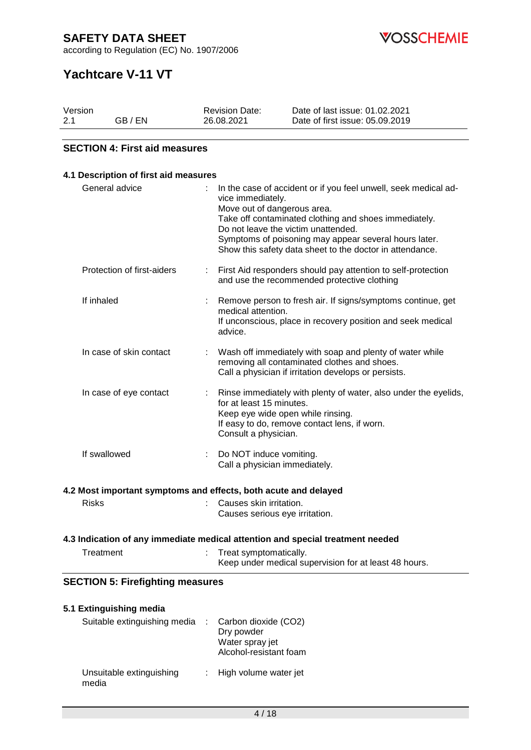according to Regulation (EC) No. 1907/2006

**VOSSCHEMIE** 

# **Yachtcare V-11 VT**

| Version |         | <b>Revision Date:</b> | Date of last issue: 01.02.2021  |
|---------|---------|-----------------------|---------------------------------|
| 2.1     | GB / EN | 26.08.2021            | Date of first issue: 05.09.2019 |

# **SECTION 4: First aid measures**

| 4.1 Description of first aid measures   |                                                                                                                                                                                                                                                                                                                                          |
|-----------------------------------------|------------------------------------------------------------------------------------------------------------------------------------------------------------------------------------------------------------------------------------------------------------------------------------------------------------------------------------------|
| General advice                          | In the case of accident or if you feel unwell, seek medical ad-<br>vice immediately.<br>Move out of dangerous area.<br>Take off contaminated clothing and shoes immediately.<br>Do not leave the victim unattended.<br>Symptoms of poisoning may appear several hours later.<br>Show this safety data sheet to the doctor in attendance. |
| Protection of first-aiders              | First Aid responders should pay attention to self-protection<br>and use the recommended protective clothing                                                                                                                                                                                                                              |
| If inhaled                              | Remove person to fresh air. If signs/symptoms continue, get<br>medical attention.<br>If unconscious, place in recovery position and seek medical<br>advice.                                                                                                                                                                              |
| In case of skin contact                 | Wash off immediately with soap and plenty of water while<br>÷<br>removing all contaminated clothes and shoes.<br>Call a physician if irritation develops or persists.                                                                                                                                                                    |
| In case of eye contact                  | Rinse immediately with plenty of water, also under the eyelids,<br>÷<br>for at least 15 minutes.<br>Keep eye wide open while rinsing.<br>If easy to do, remove contact lens, if worn.<br>Consult a physician.                                                                                                                            |
| If swallowed                            | Do NOT induce vomiting.<br>÷<br>Call a physician immediately.                                                                                                                                                                                                                                                                            |
|                                         | 4.2 Most important symptoms and effects, both acute and delayed                                                                                                                                                                                                                                                                          |
| <b>Risks</b>                            | Causes skin irritation.<br>Causes serious eye irritation.                                                                                                                                                                                                                                                                                |
|                                         | 4.3 Indication of any immediate medical attention and special treatment needed                                                                                                                                                                                                                                                           |
| Treatment                               | Treat symptomatically.<br>Keep under medical supervision for at least 48 hours.                                                                                                                                                                                                                                                          |
| <b>SECTION 5: Firefighting measures</b> |                                                                                                                                                                                                                                                                                                                                          |
| 5.1 Extinguishing media                 |                                                                                                                                                                                                                                                                                                                                          |

| Suitable extinguishing media      | $\therefore$ Carbon dioxide (CO2)<br>Dry powder<br>Water spray jet<br>Alcohol-resistant foam |
|-----------------------------------|----------------------------------------------------------------------------------------------|
| Unsuitable extinguishing<br>media | : High volume water jet                                                                      |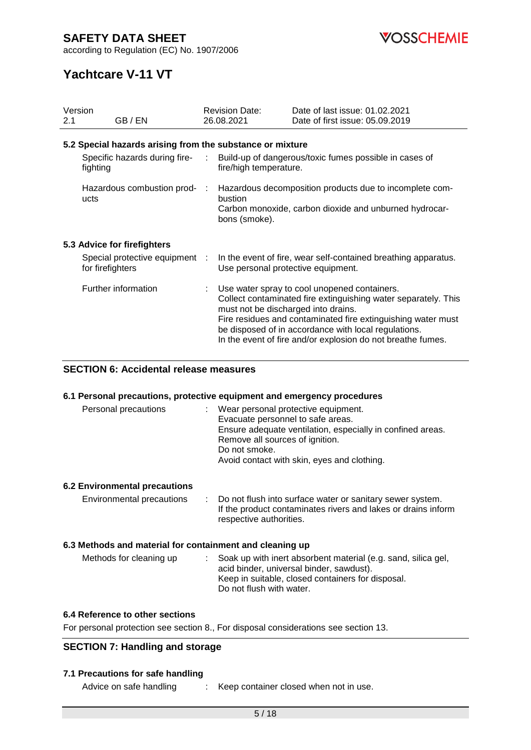according to Regulation (EC) No. 1907/2006

# **Yachtcare V-11 VT**

| Version |                                                           | <b>Revision Date:</b> |                                     | Date of last issue: 01.02.2021                                                                                                                                                                                                                                                                          |  |
|---------|-----------------------------------------------------------|-----------------------|-------------------------------------|---------------------------------------------------------------------------------------------------------------------------------------------------------------------------------------------------------------------------------------------------------------------------------------------------------|--|
| 2.1     | GB / EN                                                   |                       | 26.08.2021                          | Date of first issue: 05.09.2019                                                                                                                                                                                                                                                                         |  |
|         | 5.2 Special hazards arising from the substance or mixture |                       |                                     |                                                                                                                                                                                                                                                                                                         |  |
|         | Specific hazards during fire-<br>:<br>fighting            |                       | fire/high temperature.              | Build-up of dangerous/toxic fumes possible in cases of                                                                                                                                                                                                                                                  |  |
|         | Hazardous combustion prod- :<br>ucts                      |                       | bustion                             | Hazardous decomposition products due to incomplete com-                                                                                                                                                                                                                                                 |  |
|         |                                                           |                       | bons (smoke).                       | Carbon monoxide, carbon dioxide and unburned hydrocar-                                                                                                                                                                                                                                                  |  |
|         | 5.3 Advice for firefighters                               |                       |                                     |                                                                                                                                                                                                                                                                                                         |  |
|         | Special protective equipment :<br>for firefighters        |                       | Use personal protective equipment.  | In the event of fire, wear self-contained breathing apparatus.                                                                                                                                                                                                                                          |  |
|         | Further information                                       |                       | must not be discharged into drains. | : Use water spray to cool unopened containers.<br>Collect contaminated fire extinguishing water separately. This<br>Fire residues and contaminated fire extinguishing water must<br>be disposed of in accordance with local regulations.<br>In the event of fire and/or explosion do not breathe fumes. |  |

# **SECTION 6: Accidental release measures**

## **6.1 Personal precautions, protective equipment and emergency procedures**

| Personal precautions | Wear personal protective equipment.                        |
|----------------------|------------------------------------------------------------|
|                      | Evacuate personnel to safe areas.                          |
|                      | Ensure adequate ventilation, especially in confined areas. |
|                      | Remove all sources of ignition.                            |
|                      | Do not smoke.                                              |
|                      | Avoid contact with skin, eyes and clothing.                |
|                      |                                                            |

## **6.2 Environmental precautions**

| Environmental precautions | : Do not flush into surface water or sanitary sewer system.   |
|---------------------------|---------------------------------------------------------------|
|                           | If the product contaminates rivers and lakes or drains inform |
|                           | respective authorities.                                       |

## **6.3 Methods and material for containment and cleaning up**

| Methods for cleaning up | : Soak up with inert absorbent material (e.g. sand, silica gel,<br>acid binder, universal binder, sawdust). |
|-------------------------|-------------------------------------------------------------------------------------------------------------|
|                         | Keep in suitable, closed containers for disposal.<br>Do not flush with water.                               |

#### **6.4 Reference to other sections**

For personal protection see section 8., For disposal considerations see section 13.

## **SECTION 7: Handling and storage**

## **7.1 Precautions for safe handling**

Advice on safe handling : Keep container closed when not in use.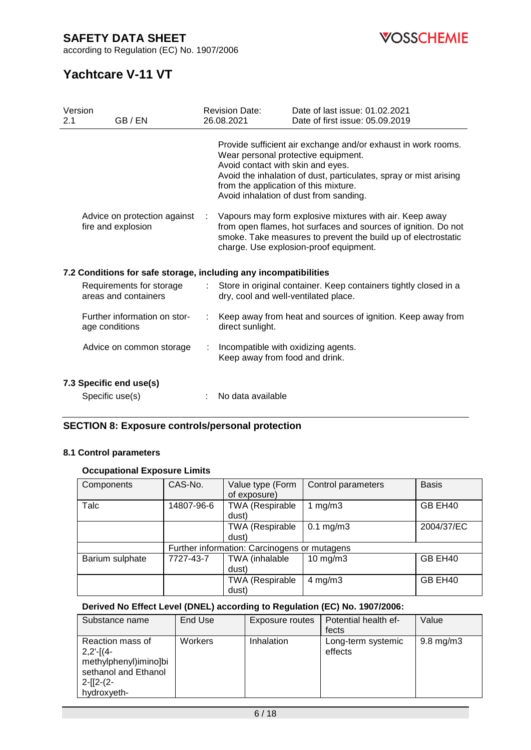according to Regulation (EC) No. 1907/2006



# **Yachtcare V-11 VT**

| 2.1 | Version<br>GB / EN                                               |                           | <b>Revision Date:</b><br>26.08.2021                                        | Date of last issue: 01.02.2021<br>Date of first issue: 05.09.2019                                                                                                                                                                    |
|-----|------------------------------------------------------------------|---------------------------|----------------------------------------------------------------------------|--------------------------------------------------------------------------------------------------------------------------------------------------------------------------------------------------------------------------------------|
|     |                                                                  |                           | Avoid contact with skin and eyes.<br>from the application of this mixture. | Provide sufficient air exchange and/or exhaust in work rooms.<br>Wear personal protective equipment.<br>Avoid the inhalation of dust, particulates, spray or mist arising<br>Avoid inhalation of dust from sanding.                  |
|     | Advice on protection against<br>fire and explosion               | $\mathcal{L}$             |                                                                            | Vapours may form explosive mixtures with air. Keep away<br>from open flames, hot surfaces and sources of ignition. Do not<br>smoke. Take measures to prevent the build up of electrostatic<br>charge. Use explosion-proof equipment. |
|     | 7.2 Conditions for safe storage, including any incompatibilities |                           |                                                                            |                                                                                                                                                                                                                                      |
|     | Requirements for storage<br>areas and containers                 | $\mathbb{R}^{\mathbb{Z}}$ | dry, cool and well-ventilated place.                                       | Store in original container. Keep containers tightly closed in a                                                                                                                                                                     |
|     | Further information on stor-<br>age conditions                   |                           | direct sunlight.                                                           | Keep away from heat and sources of ignition. Keep away from                                                                                                                                                                          |
|     | Advice on common storage                                         | ÷                         | Incompatible with oxidizing agents.<br>Keep away from food and drink.      |                                                                                                                                                                                                                                      |
|     | 7.3 Specific end use(s)                                          |                           |                                                                            |                                                                                                                                                                                                                                      |
|     | Specific use(s)                                                  |                           | No data available                                                          |                                                                                                                                                                                                                                      |

# **SECTION 8: Exposure controls/personal protection**

## **8.1 Control parameters**

# **Occupational Exposure Limits**

| Components      | CAS-No.    | Value type (Form<br>of exposure)             | Control parameters | <b>Basis</b> |  |
|-----------------|------------|----------------------------------------------|--------------------|--------------|--|
| Talc            | 14807-96-6 | <b>TWA (Respirable</b><br>dust)              | 1 $mg/m3$          | GB EH40      |  |
|                 |            | <b>TWA (Respirable</b><br>dust)              | $0.1$ mg/m $3$     | 2004/37/EC   |  |
|                 |            | Further information: Carcinogens or mutagens |                    |              |  |
| Barium sulphate | 7727-43-7  | TWA (inhalable<br>dust)                      | $10$ mg/m $3$      | GB EH40      |  |
|                 |            | <b>TWA (Respirable</b><br>dust)              | $4$ mg/m $3$       | GB EH40      |  |

## **Derived No Effect Level (DNEL) according to Regulation (EC) No. 1907/2006:**

| Substance name                                                                                                 | End Use        | Exposure routes   | Potential health ef-<br>fects | Value              |
|----------------------------------------------------------------------------------------------------------------|----------------|-------------------|-------------------------------|--------------------|
| Reaction mass of<br>$2,2'-[(4-$<br>methylphenyl)imino]bi<br>sethanol and Ethanol<br>$2-[12-(2-$<br>hydroxyeth- | <b>Workers</b> | <b>Inhalation</b> | Long-term systemic<br>effects | $9.8 \text{ mg/m}$ |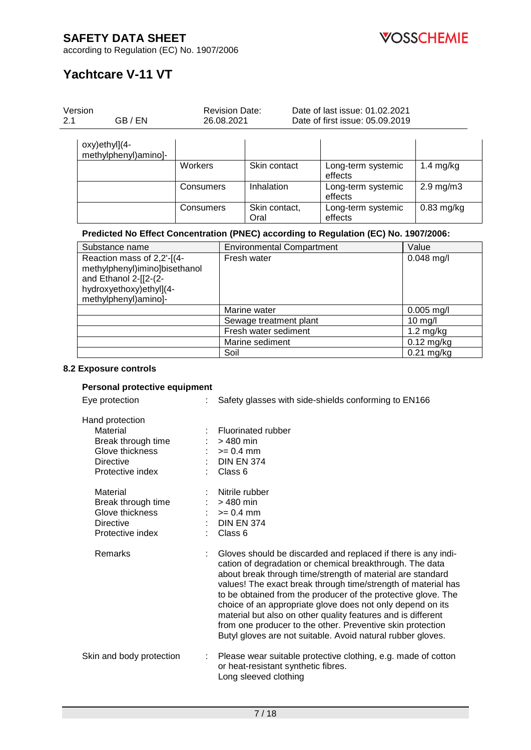

according to Regulation (EC) No. 1907/2006

# **Yachtcare V-11 VT**

| 2.1 | Version<br>GB/EN                                                                                                                        |           | <b>Revision Date:</b><br>26.08.2021 |                                  | Date of last issue: 01.02.2021<br>Date of first issue: 05.09.2019 |                |
|-----|-----------------------------------------------------------------------------------------------------------------------------------------|-----------|-------------------------------------|----------------------------------|-------------------------------------------------------------------|----------------|
|     | oxy)ethyl](4-<br>methylphenyl)amino]-                                                                                                   |           |                                     |                                  |                                                                   |                |
|     |                                                                                                                                         | Workers   |                                     | Skin contact                     | Long-term systemic<br>effects                                     | $1.4$ mg/kg    |
|     |                                                                                                                                         | Consumers |                                     | Inhalation                       | Long-term systemic<br>effects                                     | $2.9$ mg/m $3$ |
|     |                                                                                                                                         | Consumers |                                     | Skin contact,<br>Oral            | Long-term systemic<br>effects                                     | $0.83$ mg/kg   |
|     | Predicted No Effect Concentration (PNEC) according to Regulation (EC) No. 1907/2006:                                                    |           |                                     |                                  |                                                                   |                |
|     | Substance name                                                                                                                          |           |                                     | <b>Environmental Compartment</b> |                                                                   | Value          |
|     | Reaction mass of 2,2'-[(4-<br>methylphenyl)imino]bisethanol<br>and Ethanol 2-[[2-(2-<br>hydroxyethoxy)ethyl](4-<br>methylphenyl)amino]- |           |                                     | Fresh water                      |                                                                   | $0.048$ mg/l   |
|     |                                                                                                                                         |           |                                     | Marine water                     |                                                                   | $0.005$ mg/l   |
|     |                                                                                                                                         |           |                                     | Sewage treatment plant           |                                                                   | 10 mg/l        |
|     |                                                                                                                                         |           |                                     | Fresh water sediment             |                                                                   | $1.2$ mg/kg    |
|     |                                                                                                                                         |           |                                     | Marine sediment                  |                                                                   | $0.12$ mg/kg   |
|     |                                                                                                                                         |           | Soil                                |                                  |                                                                   | $0.21$ mg/kg   |
|     | 8.2 Exposure controls<br>Personal protective equipment<br>Eye protection                                                                |           |                                     |                                  | Safety glasses with side-shields conforming to EN166              |                |
|     |                                                                                                                                         |           |                                     |                                  |                                                                   |                |
|     | Hand protection<br>Material                                                                                                             |           |                                     | <b>Fluorinated rubber</b>        |                                                                   |                |
|     | Break through time                                                                                                                      |           | $>480$ min                          |                                  |                                                                   |                |
|     | Glove thickness                                                                                                                         |           | $>= 0.4$ mm                         |                                  |                                                                   |                |
|     | <b>Directive</b>                                                                                                                        |           | <b>DIN EN 374</b>                   |                                  |                                                                   |                |
|     | Protective index                                                                                                                        |           | Class 6                             |                                  |                                                                   |                |
|     | Material                                                                                                                                |           | $>480$ min                          | Nitrile rubber                   |                                                                   |                |
|     | Break through time                                                                                                                      |           |                                     |                                  |                                                                   |                |

Protective index

Glove thickness :  $>= 0.4$  mm Directive : DIN EN 374<br>Protective index : Class 6

Remarks : Gloves should be discarded and replaced if there is any indication of degradation or chemical breakthrough. The data about break through time/strength of material are standard values! The exact break through time/strength of material has to be obtained from the producer of the protective glove. The choice of an appropriate glove does not only depend on its material but also on other quality features and is different from one producer to the other. Preventive skin protection Butyl gloves are not suitable. Avoid natural rubber gloves.

### Skin and body protection : Please wear suitable protective clothing, e.g. made of cotton or heat-resistant synthetic fibres. Long sleeved clothing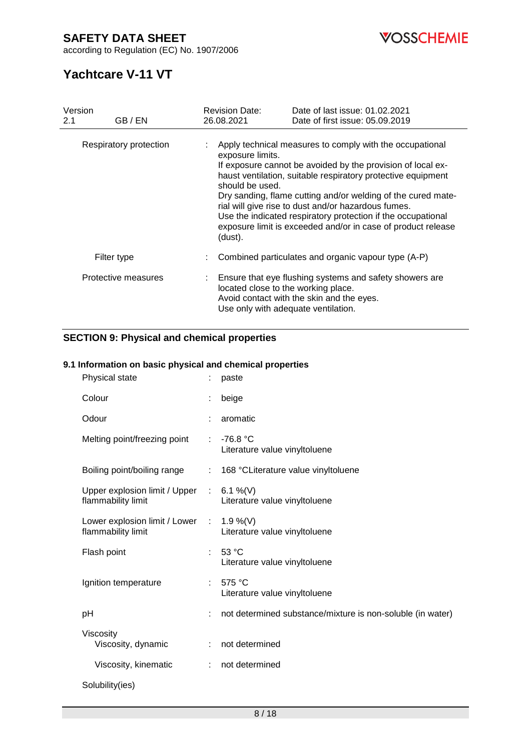according to Regulation (EC) No. 1907/2006



# **Yachtcare V-11 VT**

| Version<br>2.1 | GB / EN                | <b>Revision Date:</b><br>26.08.2021                                        | Date of last issue: 01.02.2021<br>Date of first issue: 05.09.2019                                                                                                                                                                                                                                                                                                                                                                              |
|----------------|------------------------|----------------------------------------------------------------------------|------------------------------------------------------------------------------------------------------------------------------------------------------------------------------------------------------------------------------------------------------------------------------------------------------------------------------------------------------------------------------------------------------------------------------------------------|
|                | Respiratory protection | exposure limits.<br>should be used.<br>(dust).                             | Apply technical measures to comply with the occupational<br>If exposure cannot be avoided by the provision of local ex-<br>haust ventilation, suitable respiratory protective equipment<br>Dry sanding, flame cutting and/or welding of the cured mate-<br>rial will give rise to dust and/or hazardous fumes.<br>Use the indicated respiratory protection if the occupational<br>exposure limit is exceeded and/or in case of product release |
|                | Filter type            |                                                                            | Combined particulates and organic vapour type (A-P)                                                                                                                                                                                                                                                                                                                                                                                            |
|                | Protective measures    | located close to the working place.<br>Use only with adequate ventilation. | Ensure that eye flushing systems and safety showers are<br>Avoid contact with the skin and the eyes.                                                                                                                                                                                                                                                                                                                                           |

# **SECTION 9: Physical and chemical properties**

## **9.1 Information on basic physical and chemical properties**

| Physical state                                      |            | paste                                                      |
|-----------------------------------------------------|------------|------------------------------------------------------------|
| Colour                                              |            | beige                                                      |
| Odour                                               |            | aromatic                                                   |
| Melting point/freezing point                        | ÷          | $-76.8 °C$<br>Literature value vinyltoluene                |
| Boiling point/boiling range                         |            | 168 °CLiterature value vinyltoluene                        |
| Upper explosion limit / Upper<br>flammability limit |            | : $6.1\%$ (V)<br>Literature value vinyltoluene             |
| Lower explosion limit / Lower<br>flammability limit | $\sim 100$ | 1.9 %(V)<br>Literature value vinyltoluene                  |
| Flash point                                         | ÷          | 53 °C<br>Literature value vinyltoluene                     |
| Ignition temperature                                |            | 575 $^{\circ}$ C<br>Literature value vinyltoluene          |
| pH                                                  |            | not determined substance/mixture is non-soluble (in water) |
| Viscosity<br>Viscosity, dynamic                     | ÷          | not determined                                             |
| Viscosity, kinematic                                | ÷          | not determined                                             |
| Solubility(ies)                                     |            |                                                            |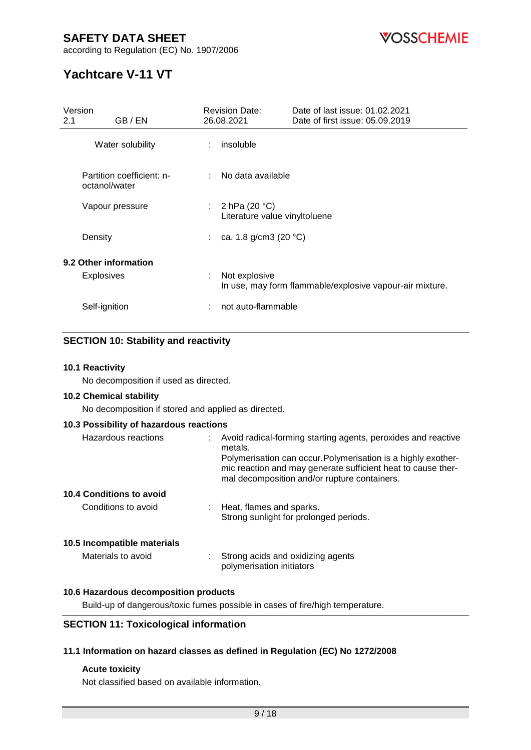

according to Regulation (EC) No. 1907/2006

# **Yachtcare V-11 VT**

| Version<br>GB / EN<br>2.1                  | <b>Revision Date:</b><br>26.08.2021                | Date of last issue: 01.02.2021<br>Date of first issue: 05.09.2019 |
|--------------------------------------------|----------------------------------------------------|-------------------------------------------------------------------|
| Water solubility                           | insoluble                                          |                                                                   |
| Partition coefficient: n-<br>octanol/water | No data available                                  |                                                                   |
| Vapour pressure                            | : $2 hPa (20 °C)$<br>Literature value vinyltoluene |                                                                   |
| Density                                    | : ca. 1.8 g/cm3 (20 $^{\circ}$ C)                  |                                                                   |
| 9.2 Other information<br><b>Explosives</b> | Not explosive<br>t                                 |                                                                   |
|                                            |                                                    | In use, may form flammable/explosive vapour-air mixture.          |
| Self-ignition                              | not auto-flammable                                 |                                                                   |

# **SECTION 10: Stability and reactivity**

## **10.1 Reactivity**

No decomposition if used as directed.

## **10.2 Chemical stability**

No decomposition if stored and applied as directed.

## **10.3 Possibility of hazardous reactions**

| Hazardous reactions         | : Avoid radical-forming starting agents, peroxides and reactive<br>metals.<br>Polymerisation can occur. Polymerisation is a highly exother-<br>mic reaction and may generate sufficient heat to cause ther-<br>mal decomposition and/or rupture containers. |
|-----------------------------|-------------------------------------------------------------------------------------------------------------------------------------------------------------------------------------------------------------------------------------------------------------|
| 10.4 Conditions to avoid    |                                                                                                                                                                                                                                                             |
| Conditions to avoid         | : Heat, flames and sparks.<br>Strong sunlight for prolonged periods.                                                                                                                                                                                        |
| 10.5 Incompatible materials |                                                                                                                                                                                                                                                             |
| Materials to avoid          | : Strong acids and oxidizing agents<br>polymerisation initiators                                                                                                                                                                                            |

## **10.6 Hazardous decomposition products**

Build-up of dangerous/toxic fumes possible in cases of fire/high temperature.

# **SECTION 11: Toxicological information**

## **11.1 Information on hazard classes as defined in Regulation (EC) No 1272/2008**

## **Acute toxicity**

Not classified based on available information.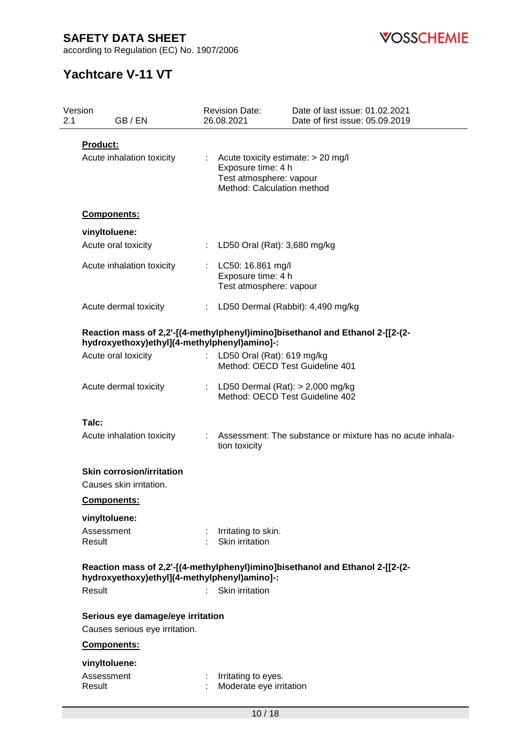according to Regulation (EC) No. 1907/2006



# **Yachtcare V-11 VT**

| 2.1 | Version<br>GB / EN                                                  |    | <b>Revision Date:</b><br>26.08.2021                                                                               | Date of last issue: 01.02.2021<br>Date of first issue: 05.09.2019             |
|-----|---------------------------------------------------------------------|----|-------------------------------------------------------------------------------------------------------------------|-------------------------------------------------------------------------------|
|     | <b>Product:</b><br>Acute inhalation toxicity                        |    | Acute toxicity estimate: > 20 mg/l<br>Exposure time: 4 h<br>Test atmosphere: vapour<br>Method: Calculation method |                                                                               |
|     | Components:                                                         |    |                                                                                                                   |                                                                               |
|     | vinyltoluene:                                                       |    |                                                                                                                   |                                                                               |
|     | Acute oral toxicity                                                 | ÷. | LD50 Oral (Rat): 3,680 mg/kg                                                                                      |                                                                               |
|     | Acute inhalation toxicity                                           |    | : LC50: 16.861 mg/l<br>Exposure time: 4 h<br>Test atmosphere: vapour                                              |                                                                               |
|     | Acute dermal toxicity                                               | t. | LD50 Dermal (Rabbit): 4,490 mg/kg                                                                                 |                                                                               |
|     | hydroxyethoxy)ethyl](4-methylphenyl)amino]-:                        |    |                                                                                                                   | Reaction mass of 2,2'-[(4-methylphenyl)imino]bisethanol and Ethanol 2-[[2-(2- |
|     | Acute oral toxicity                                                 |    | LD50 Oral (Rat): 619 mg/kg<br>Method: OECD Test Guideline 401                                                     |                                                                               |
|     | Acute dermal toxicity                                               |    | LD50 Dermal $(Rat):$ > 2,000 mg/kg<br>Method: OECD Test Guideline 402                                             |                                                                               |
|     | Talc:                                                               |    |                                                                                                                   |                                                                               |
|     | Acute inhalation toxicity                                           |    | tion toxicity                                                                                                     | Assessment: The substance or mixture has no acute inhala-                     |
|     | <b>Skin corrosion/irritation</b><br>Causes skin irritation.         |    |                                                                                                                   |                                                                               |
|     | Components:                                                         |    |                                                                                                                   |                                                                               |
|     | vinyltoluene:                                                       |    |                                                                                                                   |                                                                               |
|     | Assessment<br>Result                                                |    | : Irritating to skin.<br>Skin irritation                                                                          |                                                                               |
|     | hydroxyethoxy)ethyl](4-methylphenyl)amino]-:                        |    |                                                                                                                   | Reaction mass of 2,2'-[(4-methylphenyl)imino]bisethanol and Ethanol 2-[[2-(2- |
|     | Result                                                              |    | Skin irritation                                                                                                   |                                                                               |
|     | Serious eye damage/eye irritation<br>Causes serious eye irritation. |    |                                                                                                                   |                                                                               |
|     | Components:                                                         |    |                                                                                                                   |                                                                               |
|     | vinyItoluene:                                                       |    |                                                                                                                   |                                                                               |
|     | Assessment<br>Result                                                |    | Irritating to eyes.<br>Moderate eye irritation                                                                    |                                                                               |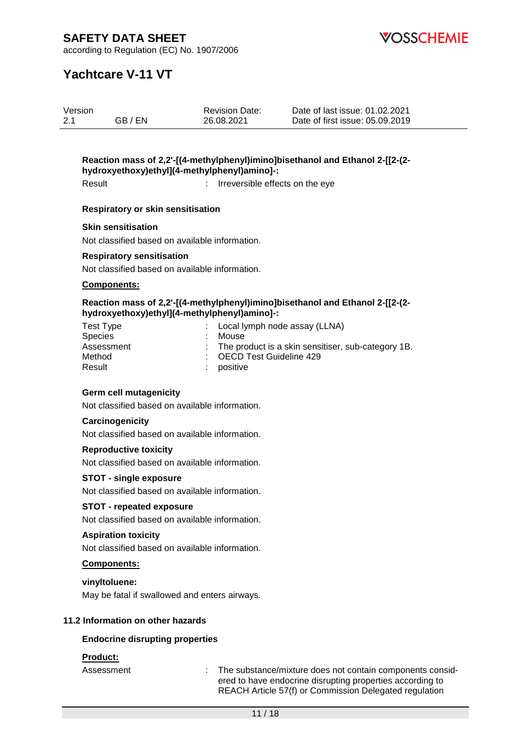**OSSCHEMIE** 

according to Regulation (EC) No. 1907/2006

# **Yachtcare V-11 VT**

| Version |         | <b>Revision Date:</b> | Date of last issue: 01.02.2021  |
|---------|---------|-----------------------|---------------------------------|
| 2.1     | GB / EN | 26.08.2021            | Date of first issue: 05.09.2019 |

# **Reaction mass of 2,2'-[(4-methylphenyl)imino]bisethanol and Ethanol 2-[[2-(2 hydroxyethoxy)ethyl](4-methylphenyl)amino]-:**

Result **Result** : Irreversible effects on the eve

### **Respiratory or skin sensitisation**

#### **Skin sensitisation**

Not classified based on available information.

#### **Respiratory sensitisation**

Not classified based on available information.

### **Components:**

#### **Reaction mass of 2,2'-[(4-methylphenyl)imino]bisethanol and Ethanol 2-[[2-(2 hydroxyethoxy)ethyl](4-methylphenyl)amino]-:**

| Test Type  | : Local lymph node assay (LLNA)                      |
|------------|------------------------------------------------------|
| Species    | Mouse                                                |
| Assessment | : The product is a skin sensitiser, sub-category 1B. |
| Method     | : OECD Test Guideline 429                            |
| Result     | : positive                                           |

## **Germ cell mutagenicity**

Not classified based on available information.

### **Carcinogenicity**

Not classified based on available information.

#### **Reproductive toxicity**

Not classified based on available information.

#### **STOT - single exposure**

Not classified based on available information.

#### **STOT - repeated exposure**

Not classified based on available information.

### **Aspiration toxicity**

Not classified based on available information.

#### **Components:**

**vinyltoluene:**

May be fatal if swallowed and enters airways.

## **11.2 Information on other hazards**

#### **Endocrine disrupting properties**

## **Product:**

Assessment : The substance/mixture does not contain components considered to have endocrine disrupting properties according to REACH Article 57(f) or Commission Delegated regulation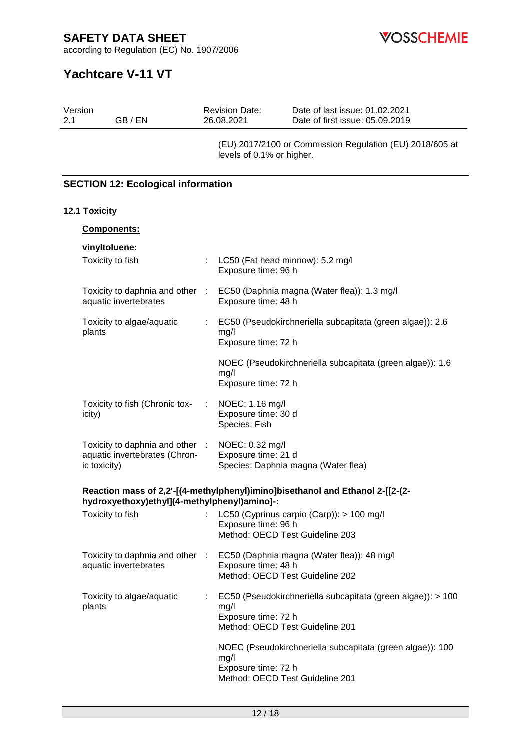**VOSSCHEMIE** 

according to Regulation (EC) No. 1907/2006

# **Yachtcare V-11 VT**

| Version<br>2.1<br>GB / EN                                                        |           | <b>Revision Date:</b><br>26.08.2021                            | Date of last issue: 01.02.2021<br>Date of first issue: 05.09.2019             |
|----------------------------------------------------------------------------------|-----------|----------------------------------------------------------------|-------------------------------------------------------------------------------|
|                                                                                  |           | levels of 0.1% or higher.                                      | (EU) 2017/2100 or Commission Regulation (EU) 2018/605 at                      |
| <b>SECTION 12: Ecological information</b>                                        |           |                                                                |                                                                               |
| 12.1 Toxicity                                                                    |           |                                                                |                                                                               |
| Components:                                                                      |           |                                                                |                                                                               |
| vinyltoluene:                                                                    |           |                                                                |                                                                               |
| Toxicity to fish                                                                 |           | LC50 (Fat head minnow): 5.2 mg/l<br>Exposure time: 96 h        |                                                                               |
| Toxicity to daphnia and other<br>aquatic invertebrates                           | $\sim 10$ | Exposure time: 48 h                                            | EC50 (Daphnia magna (Water flea)): 1.3 mg/l                                   |
| Toxicity to algae/aquatic<br>plants                                              | ÷.        | mg/l<br>Exposure time: 72 h                                    | EC50 (Pseudokirchneriella subcapitata (green algae)): 2.6                     |
|                                                                                  |           | mg/l<br>Exposure time: 72 h                                    | NOEC (Pseudokirchneriella subcapitata (green algae)): 1.6                     |
| Toxicity to fish (Chronic tox-<br>icity)                                         |           | NOEC: 1.16 mg/l<br>Exposure time: 30 d<br>Species: Fish        |                                                                               |
| Toxicity to daphnia and other :<br>aquatic invertebrates (Chron-<br>ic toxicity) |           | NOEC: 0.32 mg/l<br>Exposure time: 21 d                         | Species: Daphnia magna (Water flea)                                           |
| hydroxyethoxy)ethyl](4-methylphenyl)amino]-:                                     |           |                                                                | Reaction mass of 2,2'-[(4-methylphenyl)imino]bisethanol and Ethanol 2-[[2-(2- |
| Toxicity to fish                                                                 |           | Exposure time: 96 h<br>Method: OECD Test Guideline 203         | LC50 (Cyprinus carpio (Carp)): > 100 mg/l                                     |
| Toxicity to daphnia and other<br>aquatic invertebrates                           | - 11      | Exposure time: 48 h<br>Method: OECD Test Guideline 202         | EC50 (Daphnia magna (Water flea)): 48 mg/l                                    |
| Toxicity to algae/aquatic<br>plants                                              |           | mg/l<br>Exposure time: 72 h<br>Method: OECD Test Guideline 201 | EC50 (Pseudokirchneriella subcapitata (green algae)): > 100                   |
|                                                                                  |           | mg/l<br>Exposure time: 72 h<br>Method: OECD Test Guideline 201 | NOEC (Pseudokirchneriella subcapitata (green algae)): 100                     |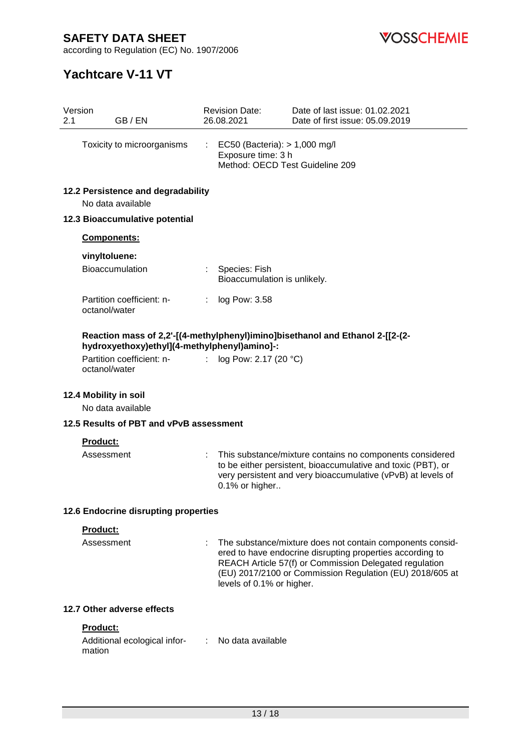**VOSSCHEMIE** 

according to Regulation (EC) No. 1907/2006

# **Yachtcare V-11 VT**

| 2.1 | Version<br>GB / EN                           |    | <b>Revision Date:</b><br>26.08.2021                                                    | Date of last issue: 01.02.2021<br>Date of first issue: 05.09.2019                                                                                                                                                                            |
|-----|----------------------------------------------|----|----------------------------------------------------------------------------------------|----------------------------------------------------------------------------------------------------------------------------------------------------------------------------------------------------------------------------------------------|
|     | Toxicity to microorganisms                   | ÷. | EC50 (Bacteria): > 1,000 mg/l<br>Exposure time: 3 h<br>Method: OECD Test Guideline 209 |                                                                                                                                                                                                                                              |
|     | 12.2 Persistence and degradability           |    |                                                                                        |                                                                                                                                                                                                                                              |
|     | No data available                            |    |                                                                                        |                                                                                                                                                                                                                                              |
|     | 12.3 Bioaccumulative potential               |    |                                                                                        |                                                                                                                                                                                                                                              |
|     | Components:                                  |    |                                                                                        |                                                                                                                                                                                                                                              |
|     | vinyltoluene:                                |    |                                                                                        |                                                                                                                                                                                                                                              |
|     | Bioaccumulation                              |    | Species: Fish<br>Bioaccumulation is unlikely.                                          |                                                                                                                                                                                                                                              |
|     | Partition coefficient: n-<br>octanol/water   | ÷  | log Pow: 3.58                                                                          |                                                                                                                                                                                                                                              |
|     | hydroxyethoxy)ethyl](4-methylphenyl)amino]-: |    |                                                                                        | Reaction mass of 2,2'-[(4-methylphenyl)imino]bisethanol and Ethanol 2-[[2-(2-                                                                                                                                                                |
|     | Partition coefficient: n-<br>octanol/water   |    | log Pow: 2.17 (20 °C)                                                                  |                                                                                                                                                                                                                                              |
|     | 12.4 Mobility in soil<br>No data available   |    |                                                                                        |                                                                                                                                                                                                                                              |
|     | 12.5 Results of PBT and vPvB assessment      |    |                                                                                        |                                                                                                                                                                                                                                              |
|     | Product:                                     |    |                                                                                        |                                                                                                                                                                                                                                              |
|     | Assessment                                   |    | 0.1% or higher                                                                         | This substance/mixture contains no components considered<br>to be either persistent, bioaccumulative and toxic (PBT), or<br>very persistent and very bioaccumulative (vPvB) at levels of                                                     |
|     | 12.6 Endocrine disrupting properties         |    |                                                                                        |                                                                                                                                                                                                                                              |
|     | Product:                                     |    |                                                                                        |                                                                                                                                                                                                                                              |
|     | Assessment                                   |    | levels of 0.1% or higher.                                                              | The substance/mixture does not contain components consid-<br>ered to have endocrine disrupting properties according to<br>REACH Article 57(f) or Commission Delegated regulation<br>(EU) 2017/2100 or Commission Regulation (EU) 2018/605 at |
|     | 12.7 Other adverse effects                   |    |                                                                                        |                                                                                                                                                                                                                                              |
|     | Product:                                     |    |                                                                                        |                                                                                                                                                                                                                                              |
|     | Additional ecological infor-<br>mation       |    | No data available                                                                      |                                                                                                                                                                                                                                              |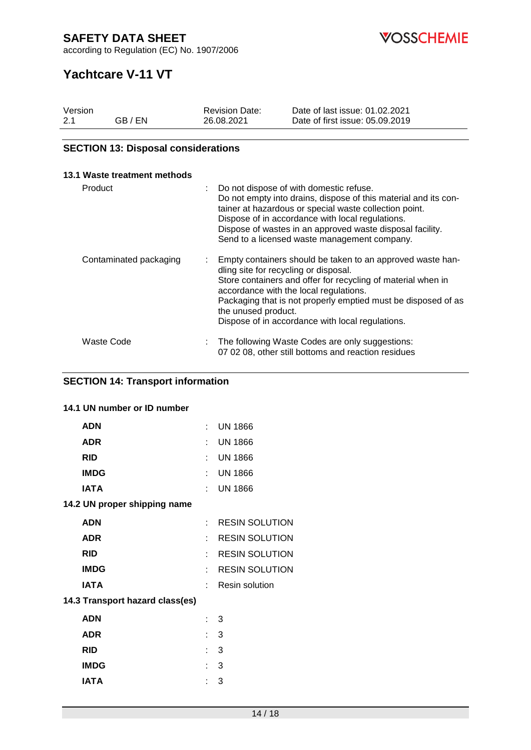according to Regulation (EC) No. 1907/2006

**VOSSCHEMIE** 

# **Yachtcare V-11 VT**

| Version |         | <b>Revision Date:</b> | Date of last issue: 01.02.2021  |
|---------|---------|-----------------------|---------------------------------|
| 2.1     | GB / EN | 26.08.2021            | Date of first issue: 05.09.2019 |

# **SECTION 13: Disposal considerations**

| 13.1 Waste treatment methods |    |                                                                                                                                                                                                                                                                                                                                                           |
|------------------------------|----|-----------------------------------------------------------------------------------------------------------------------------------------------------------------------------------------------------------------------------------------------------------------------------------------------------------------------------------------------------------|
| Product                      | t. | Do not dispose of with domestic refuse.<br>Do not empty into drains, dispose of this material and its con-<br>tainer at hazardous or special waste collection point.<br>Dispose of in accordance with local regulations.<br>Dispose of wastes in an approved waste disposal facility.<br>Send to a licensed waste management company.                     |
| Contaminated packaging       | t. | Empty containers should be taken to an approved waste han-<br>dling site for recycling or disposal.<br>Store containers and offer for recycling of material when in<br>accordance with the local regulations.<br>Packaging that is not properly emptied must be disposed of as<br>the unused product.<br>Dispose of in accordance with local regulations. |
| Waste Code                   | ÷  | The following Waste Codes are only suggestions:<br>07 02 08, other still bottoms and reaction residues                                                                                                                                                                                                                                                    |

# **SECTION 14: Transport information**

# **14.1 UN number or ID number**

| <b>ADN</b>                      | ×. | <b>UN 1866</b>        |
|---------------------------------|----|-----------------------|
| <b>ADR</b>                      |    | <b>UN 1866</b>        |
| <b>RID</b>                      |    | <b>UN 1866</b>        |
| <b>IMDG</b>                     |    | <b>UN 1866</b>        |
| IATA                            |    | <b>UN 1866</b>        |
| 14.2 UN proper shipping name    |    |                       |
| <b>ADN</b>                      | t. | <b>RESIN SOLUTION</b> |
| <b>ADR</b>                      |    | <b>RESIN SOLUTION</b> |
| <b>RID</b>                      |    | <b>RESIN SOLUTION</b> |
| <b>IMDG</b>                     |    | <b>RESIN SOLUTION</b> |
| <b>IATA</b>                     | t. | <b>Resin solution</b> |
| 14.3 Transport hazard class(es) |    |                       |
| <b>ADN</b>                      |    | : 3                   |
| <b>ADR</b>                      |    | : 3                   |
| <b>RID</b>                      | t. | 3                     |
| <b>IMDG</b>                     |    | 3                     |
| IATA                            |    | 3                     |
|                                 |    |                       |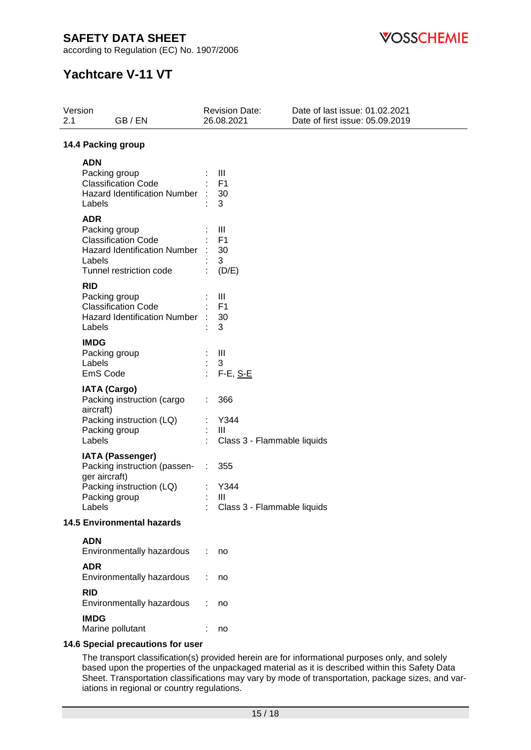according to Regulation (EC) No. 1907/2006

**VOSSCHEMIE** 

# **Yachtcare V-11 VT**

| Version<br>2.1                    | GB/EN                                                                                                                                 |   | <b>Revision Date:</b><br>26.08.2021                 | Date of last issue: 01.02.2021<br>Date of first issue: 05.09.2019 |
|-----------------------------------|---------------------------------------------------------------------------------------------------------------------------------------|---|-----------------------------------------------------|-------------------------------------------------------------------|
|                                   | 14.4 Packing group                                                                                                                    |   |                                                     |                                                                   |
|                                   | <b>ADN</b><br>Packing group<br><b>Classification Code</b><br><b>Hazard Identification Number</b><br>Labels                            |   | Ш<br>F <sub>1</sub><br>30<br>3                      |                                                                   |
|                                   | <b>ADR</b><br>Packing group<br><b>Classification Code</b><br><b>Hazard Identification Number</b><br>Labels<br>Tunnel restriction code |   | Ш<br>F <sub>1</sub><br>30<br>3<br>(D/E)             |                                                                   |
| <b>RID</b>                        | Packing group<br><b>Classification Code</b><br><b>Hazard Identification Number</b><br>Labels                                          |   | Ш<br>F <sub>1</sub><br>30<br>3                      |                                                                   |
|                                   | <b>IMDG</b><br>Packing group<br>Labels<br>EmS Code                                                                                    |   | $\mathop{\mathrm{III}}\nolimits$<br>3<br>$F-E, S-E$ |                                                                   |
|                                   | <b>IATA (Cargo)</b><br>Packing instruction (cargo<br>aircraft)<br>Packing instruction (LQ)<br>Packing group<br>Labels                 | ÷ | 366<br>Y344<br>Ш<br>Class 3 - Flammable liquids     |                                                                   |
|                                   | <b>IATA (Passenger)</b><br>Packing instruction (passen-<br>ger aircraft)<br>Packing instruction (LQ)<br>Packing group<br>Labels       | ÷ | 355<br>Y344<br>III<br>Class 3 - Flammable liquids   |                                                                   |
| <b>14.5 Environmental hazards</b> |                                                                                                                                       |   |                                                     |                                                                   |
|                                   | <b>ADN</b><br>Environmentally hazardous                                                                                               |   | no                                                  |                                                                   |
|                                   | <b>ADR</b><br>Environmentally hazardous                                                                                               |   | no                                                  |                                                                   |
| <b>RID</b>                        | Environmentally hazardous                                                                                                             |   | no                                                  |                                                                   |
|                                   | <b>IMDG</b><br>Marine pollutant<br>C. Chaptel propositions for upon                                                                   |   | no                                                  |                                                                   |

## **14.6 Special precautions for user**

The transport classification(s) provided herein are for informational purposes only, and solely based upon the properties of the unpackaged material as it is described within this Safety Data Sheet. Transportation classifications may vary by mode of transportation, package sizes, and variations in regional or country regulations.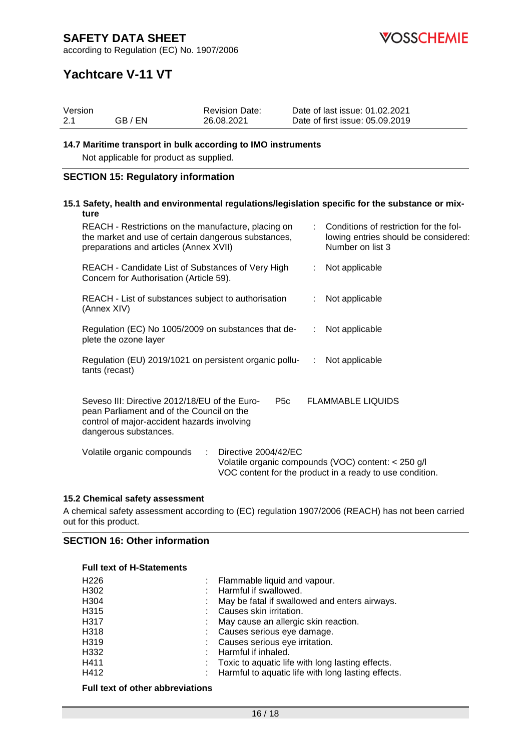

according to Regulation (EC) No. 1907/2006

# **Yachtcare V-11 VT**

|     | Version                                                                                                                                                            | <b>Revision Date:</b> |                  | Date of last issue: 01.02.2021                                                                                  |  |
|-----|--------------------------------------------------------------------------------------------------------------------------------------------------------------------|-----------------------|------------------|-----------------------------------------------------------------------------------------------------------------|--|
| 2.1 | GB / EN                                                                                                                                                            | 26.08.2021            |                  | Date of first issue: 05.09.2019                                                                                 |  |
|     | 14.7 Maritime transport in bulk according to IMO instruments<br>Not applicable for product as supplied.                                                            |                       |                  |                                                                                                                 |  |
|     | <b>SECTION 15: Regulatory information</b>                                                                                                                          |                       |                  |                                                                                                                 |  |
|     | ture                                                                                                                                                               |                       |                  | 15.1 Safety, health and environmental regulations/legislation specific for the substance or mix-                |  |
|     | REACH - Restrictions on the manufacture, placing on<br>the market and use of certain dangerous substances,<br>preparations and articles (Annex XVII)               |                       |                  | Conditions of restriction for the fol-<br>lowing entries should be considered:<br>Number on list 3              |  |
|     | REACH - Candidate List of Substances of Very High<br>Concern for Authorisation (Article 59).                                                                       |                       | t.               | Not applicable                                                                                                  |  |
|     | REACH - List of substances subject to authorisation<br>(Annex XIV)                                                                                                 |                       |                  | Not applicable                                                                                                  |  |
|     | Regulation (EC) No 1005/2009 on substances that de-<br>plete the ozone layer                                                                                       |                       |                  | Not applicable                                                                                                  |  |
|     | Regulation (EU) 2019/1021 on persistent organic pollu-<br>tants (recast)                                                                                           |                       | ÷                | Not applicable                                                                                                  |  |
|     | Seveso III: Directive 2012/18/EU of the Euro-<br>pean Parliament and of the Council on the<br>control of major-accident hazards involving<br>dangerous substances. |                       | P <sub>5</sub> c | <b>FLAMMABLE LIQUIDS</b>                                                                                        |  |
|     | Volatile organic compounds                                                                                                                                         | Directive 2004/42/EC  |                  | Volatile organic compounds (VOC) content: < 250 g/l<br>VOC content for the product in a ready to use condition. |  |

### **15.2 Chemical safety assessment**

A chemical safety assessment according to (EC) regulation 1907/2006 (REACH) has not been carried out for this product.

# **SECTION 16: Other information**

### **Full text of H-Statements**

| H <sub>226</sub> | : Flammable liquid and vapour.                       |
|------------------|------------------------------------------------------|
| H302             | : Harmful if swallowed.                              |
| H304             | May be fatal if swallowed and enters airways.        |
| H315             | Causes skin irritation.                              |
| H317             | : May cause an allergic skin reaction.               |
| H318             | : Causes serious eye damage.                         |
| H319             | : Causes serious eye irritation.                     |
| H332             | : Harmful if inhaled.                                |
| H411             | : Toxic to aquatic life with long lasting effects.   |
| H412             | : Harmful to aquatic life with long lasting effects. |

## **Full text of other abbreviations**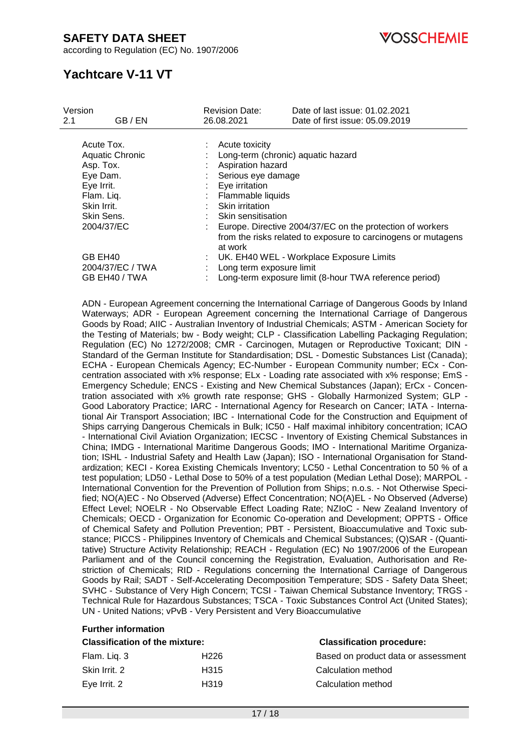according to Regulation (EC) No. 1907/2006

**OSSCHEMIE** 

# **Yachtcare V-11 VT**

| Version |                  | <b>Revision Date:</b>    | Date of last issue: 01.02.2021                                |
|---------|------------------|--------------------------|---------------------------------------------------------------|
| 2.1     | GB / EN          | 26.08.2021               | Date of first issue: 05.09.2019                               |
|         |                  |                          |                                                               |
|         | Acute Tox.       | Acute toxicity           |                                                               |
|         | Aquatic Chronic  |                          | Long-term (chronic) aquatic hazard                            |
|         | Asp. Tox.        | Aspiration hazard        |                                                               |
|         | Eye Dam.         | Serious eye damage       |                                                               |
|         | Eye Irrit.       | Eye irritation           |                                                               |
|         | Flam. Liq.       | Flammable liquids        |                                                               |
|         | Skin Irrit.      | Skin irritation          |                                                               |
|         | Skin Sens.       | Skin sensitisation       |                                                               |
|         |                  |                          |                                                               |
|         | 2004/37/EC       |                          | Europe. Directive 2004/37/EC on the protection of workers     |
|         |                  | at work                  | from the risks related to exposure to carcinogens or mutagens |
|         | GB EH40          |                          | UK. EH40 WEL - Workplace Exposure Limits                      |
|         | 2004/37/EC / TWA | Long term exposure limit |                                                               |
|         | GB EH40 / TWA    |                          | Long-term exposure limit (8-hour TWA reference period)        |

ADN - European Agreement concerning the International Carriage of Dangerous Goods by Inland Waterways; ADR - European Agreement concerning the International Carriage of Dangerous Goods by Road; AIIC - Australian Inventory of Industrial Chemicals; ASTM - American Society for the Testing of Materials; bw - Body weight; CLP - Classification Labelling Packaging Regulation; Regulation (EC) No 1272/2008; CMR - Carcinogen, Mutagen or Reproductive Toxicant; DIN - Standard of the German Institute for Standardisation; DSL - Domestic Substances List (Canada); ECHA - European Chemicals Agency; EC-Number - European Community number; ECx - Concentration associated with x% response; ELx - Loading rate associated with x% response; EmS - Emergency Schedule; ENCS - Existing and New Chemical Substances (Japan); ErCx - Concentration associated with x% growth rate response; GHS - Globally Harmonized System; GLP - Good Laboratory Practice; IARC - International Agency for Research on Cancer; IATA - International Air Transport Association; IBC - International Code for the Construction and Equipment of Ships carrying Dangerous Chemicals in Bulk; IC50 - Half maximal inhibitory concentration; ICAO - International Civil Aviation Organization; IECSC - Inventory of Existing Chemical Substances in China; IMDG - International Maritime Dangerous Goods; IMO - International Maritime Organization; ISHL - Industrial Safety and Health Law (Japan); ISO - International Organisation for Standardization; KECI - Korea Existing Chemicals Inventory; LC50 - Lethal Concentration to 50 % of a test population; LD50 - Lethal Dose to 50% of a test population (Median Lethal Dose); MARPOL - International Convention for the Prevention of Pollution from Ships; n.o.s. - Not Otherwise Specified; NO(A)EC - No Observed (Adverse) Effect Concentration; NO(A)EL - No Observed (Adverse) Effect Level; NOELR - No Observable Effect Loading Rate; NZIoC - New Zealand Inventory of Chemicals; OECD - Organization for Economic Co-operation and Development; OPPTS - Office of Chemical Safety and Pollution Prevention; PBT - Persistent, Bioaccumulative and Toxic substance; PICCS - Philippines Inventory of Chemicals and Chemical Substances; (Q)SAR - (Quantitative) Structure Activity Relationship; REACH - Regulation (EC) No 1907/2006 of the European Parliament and of the Council concerning the Registration, Evaluation, Authorisation and Restriction of Chemicals; RID - Regulations concerning the International Carriage of Dangerous Goods by Rail; SADT - Self-Accelerating Decomposition Temperature; SDS - Safety Data Sheet; SVHC - Substance of Very High Concern; TCSI - Taiwan Chemical Substance Inventory; TRGS - Technical Rule for Hazardous Substances; TSCA - Toxic Substances Control Act (United States); UN - United Nations; vPvB - Very Persistent and Very Bioaccumulative

| <b>Further information</b>            |                  |                                     |  |
|---------------------------------------|------------------|-------------------------------------|--|
| <b>Classification of the mixture:</b> |                  | <b>Classification procedure:</b>    |  |
| Flam. Liq. 3                          | H <sub>226</sub> | Based on product data or assessment |  |
| Skin Irrit, 2                         | H <sub>315</sub> | Calculation method                  |  |
| Eye Irrit. 2                          | H319             | Calculation method                  |  |